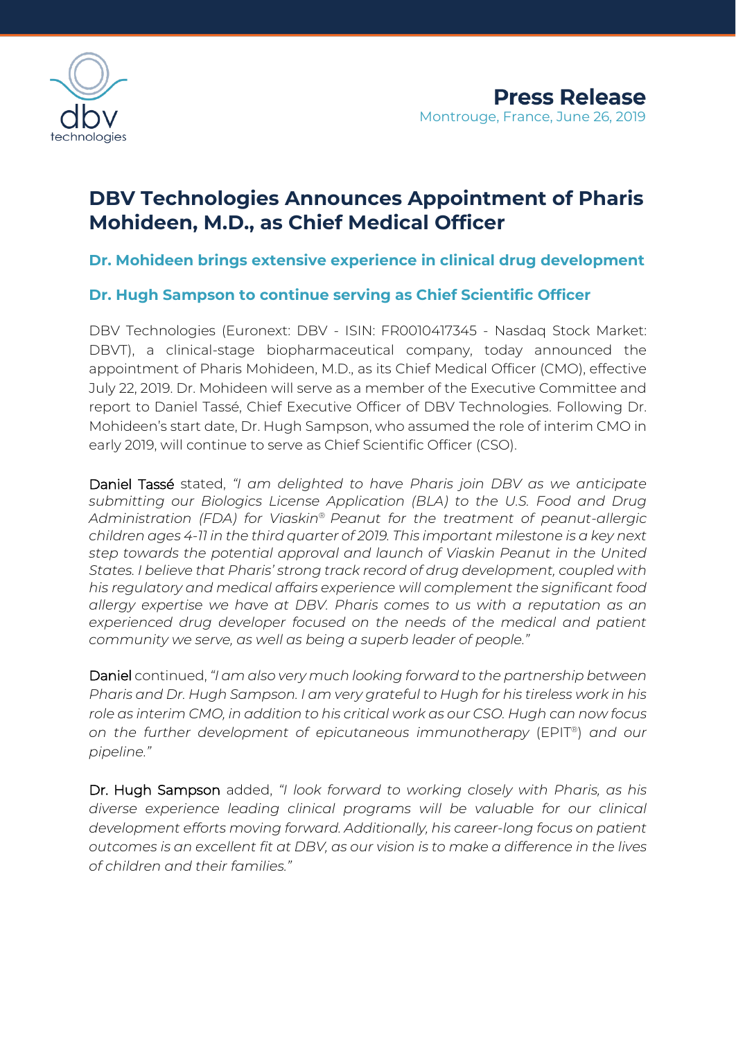

# **DBV Technologies Announces Appointment of Pharis Mohideen, M.D., as Chief Medical Officer**

**Dr. Mohideen brings extensive experience in clinical drug development**

## **Dr. Hugh Sampson to continue serving as Chief Scientific Officer**

DBV Technologies (Euronext: DBV - ISIN: FR0010417345 - Nasdaq Stock Market: DBVT), a clinical-stage biopharmaceutical company, today announced the appointment of Pharis Mohideen, M.D., as its Chief Medical Officer (CMO), effective July 22, 2019. Dr. Mohideen will serve as a member of the Executive Committee and report to Daniel Tassé, Chief Executive Officer of DBV Technologies. Following Dr. Mohideen's start date, Dr. Hugh Sampson, who assumed the role of interim CMO in early 2019, will continue to serve as Chief Scientific Officer (CSO).

Daniel Tassé stated, *"I am delighted to have Pharis join DBV as we anticipate submitting our Biologics License Application (BLA) to the U.S. Food and Drug Administration (FDA) for Viaskin*® *Peanut for the treatment of peanut-allergic children ages 4-11 in the third quarter of 2019. This important milestone is a key next step towards the potential approval and launch of Viaskin Peanut in the United States. I believe that Pharis' strong track record of drug development, coupled with his regulatory and medical affairs experience will complement the significant food allergy expertise we have at DBV. Pharis comes to us with a reputation as an experienced drug developer focused on the needs of the medical and patient community we serve, as well as being a superb leader of people."* 

Daniel continued, *"I am also very much looking forward to the partnership between Pharis and Dr. Hugh Sampson. I am very grateful to Hugh for his tireless work in his role as interim CMO, in addition to his critical work as our CSO. Hugh can now focus on the further development of epicutaneous immunotherapy* (EPIT®) *and our pipeline."* 

Dr. Hugh Sampson added, *"I look forward to working closely with Pharis, as his diverse experience leading clinical programs will be valuable for our clinical development efforts moving forward. Additionally, his career-long focus on patient outcomes is an excellent fit at DBV, as our vision is to make a difference in the lives of children and their families."*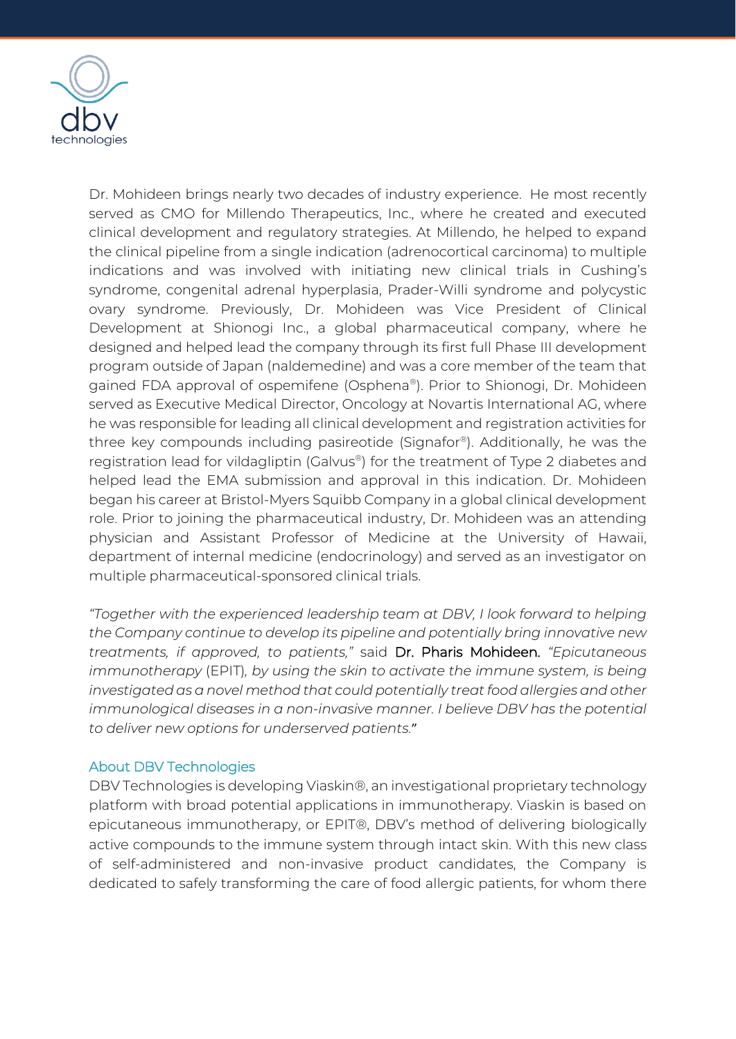

Dr. Mohideen brings nearly two decades of industry experience. He most recently served as CMO for Millendo Therapeutics, Inc., where he created and executed clinical development and regulatory strategies. At Millendo, he helped to expand the clinical pipeline from a single indication (adrenocortical carcinoma) to multiple indications and was involved with initiating new clinical trials in Cushing's syndrome, congenital adrenal hyperplasia, Prader-Willi syndrome and polycystic ovary syndrome. Previously, Dr. Mohideen was Vice President of Clinical Development at Shionogi Inc., a global pharmaceutical company, where he designed and helped lead the company through its first full Phase III development program outside of Japan (naldemedine) and was a core member of the team that gained FDA approval of ospemifene (Osphena®). Prior to Shionogi, Dr. Mohideen served as Executive Medical Director, Oncology at Novartis International AG, where he was responsible for leading all clinical development and registration activities for three key compounds including pasireotide (Signafor®). Additionally, he was the registration lead for vildagliptin (Galvus®) for the treatment of Type 2 diabetes and helped lead the EMA submission and approval in this indication. Dr. Mohideen began his career at Bristol-Myers Squibb Company in a global clinical development role. Prior to joining the pharmaceutical industry, Dr. Mohideen was an attending physician and Assistant Professor of Medicine at the University of Hawaii, department of internal medicine (endocrinology) and served as an investigator on multiple pharmaceutical-sponsored clinical trials.

*"Together with the experienced leadership team at DBV, I look forward to helping the Company continue to develop its pipeline and potentially bring innovative new treatments, if approved, to patients,"* said Dr. Pharis Mohideen. *"Epicutaneous immunotherapy* (EPIT)*, by using the skin to activate the immune system, is being investigated as a novel method that could potentially treat food allergies and other immunological diseases in a non-invasive manner. I believe DBV has the potential to deliver new options for underserved patients.*"

### About DBV Technologies

DBV Technologies is developing Viaskin®, an investigational proprietary technology platform with broad potential applications in immunotherapy. Viaskin is based on epicutaneous immunotherapy, or EPIT®, DBV's method of delivering biologically active compounds to the immune system through intact skin. With this new class of self-administered and non-invasive product candidates, the Company is dedicated to safely transforming the care of food allergic patients, for whom there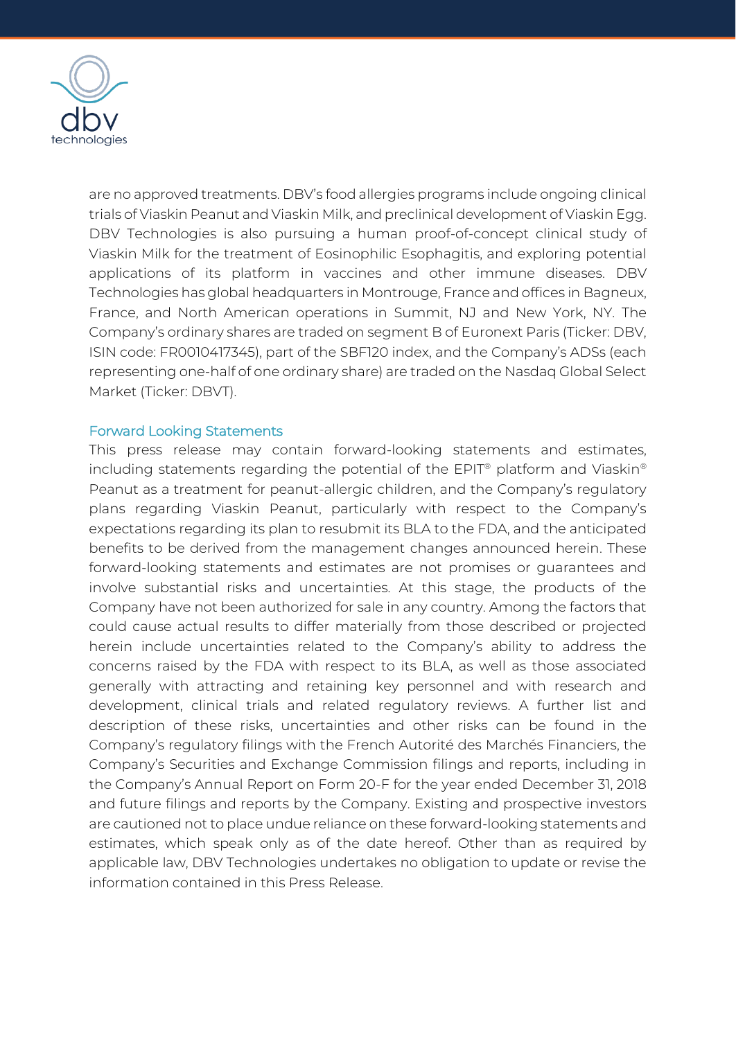

are no approved treatments. DBV's food allergies programs include ongoing clinical trials of Viaskin Peanut and Viaskin Milk, and preclinical development of Viaskin Egg. DBV Technologies is also pursuing a human proof-of-concept clinical study of Viaskin Milk for the treatment of Eosinophilic Esophagitis, and exploring potential applications of its platform in vaccines and other immune diseases. DBV Technologies has global headquarters in Montrouge, France and offices in Bagneux, France, and North American operations in Summit, NJ and New York, NY. The Company's ordinary shares are traded on segment B of Euronext Paris (Ticker: DBV, ISIN code: FR0010417345), part of the SBF120 index, and the Company's ADSs (each representing one-half of one ordinary share) are traded on the Nasdaq Global Select Market (Ticker: DBVT).

#### Forward Looking Statements

This press release may contain forward-looking statements and estimates, including statements regarding the potential of the EPIT® platform and Viaskin® Peanut as a treatment for peanut-allergic children, and the Company's regulatory plans regarding Viaskin Peanut, particularly with respect to the Company's expectations regarding its plan to resubmit its BLA to the FDA, and the anticipated benefits to be derived from the management changes announced herein. These forward-looking statements and estimates are not promises or guarantees and involve substantial risks and uncertainties. At this stage, the products of the Company have not been authorized for sale in any country. Among the factors that could cause actual results to differ materially from those described or projected herein include uncertainties related to the Company's ability to address the concerns raised by the FDA with respect to its BLA, as well as those associated generally with attracting and retaining key personnel and with research and development, clinical trials and related regulatory reviews. A further list and description of these risks, uncertainties and other risks can be found in the Company's regulatory filings with the French Autorité des Marchés Financiers, the Company's Securities and Exchange Commission filings and reports, including in the Company's Annual Report on Form 20-F for the year ended December 31, 2018 and future filings and reports by the Company. Existing and prospective investors are cautioned not to place undue reliance on these forward-looking statements and estimates, which speak only as of the date hereof. Other than as required by applicable law, DBV Technologies undertakes no obligation to update or revise the information contained in this Press Release.